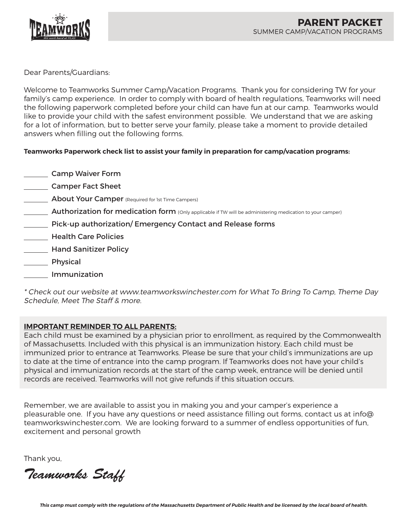

Dear Parents/Guardians:

Welcome to Teamworks Summer Camp/Vacation Programs. Thank you for considering TW for your family's camp experience. In order to comply with board of health regulations, Teamworks will need the following paperwork completed before your child can have fun at our camp. Teamworks would like to provide your child with the safest environment possible. We understand that we are asking for a lot of information, but to better serve your family, please take a moment to provide detailed answers when filling out the following forms.

# **Teamworks Paperwork check list to assist your family in preparation for camp/vacation programs:**

- **Camp Waiver Form**
- **Camper Fact Sheet**
- **About Your Camper** (Required for 1st Time Campers)
- **Authorization for medication form** (Only applicable if TW will be administering medication to your camper)
- Pick-up authorization/ Emergency Contact and Release forms
- Health Care Policies
- **Mand Sanitizer Policy**
- \_\_\_\_\_\_ Physical
- Immunization

\* Check out our website at www.teamworkswinchester.com for What To Bring To Camp, Theme Day Schedule, Meet The Staff & more.

# **IMPORTANT REMINDER TO ALL PARENTS:**

Each child must be examined by a physician prior to enrollment, as required by the Commonwealth of Massachusetts. Included with this physical is an immunization history. Each child must be immunized prior to entrance at Teamworks. Please be sure that your child's immunizations are up to date at the time of entrance into the camp program. If Teamworks does not have your child's physical and immunization records at the start of the camp week, entrance will be denied until records are received. Teamworks will not give refunds if this situation occurs.

Remember, we are available to assist you in making you and your camper's experience a pleasurable one. If you have any questions or need assistance filling out forms, contact us at info@ teamworkswinchester.com. We are looking forward to a summer of endless opportunities of fun, excitement and personal growth

Thank you,

*Teamworks Staff*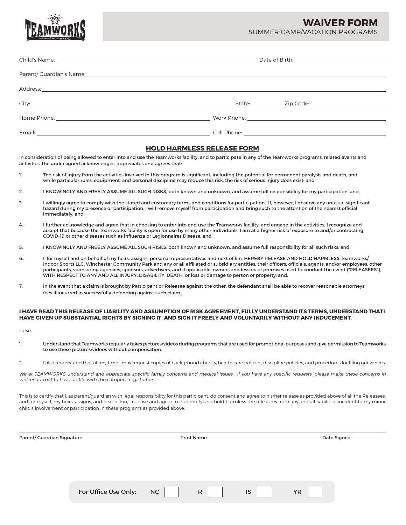**WAIVER FORM**

SUMMER CAMP/VACATION PROGRAMS

| State: Zip Code: Zip Code: |  |  |  |  |
|----------------------------|--|--|--|--|
|                            |  |  |  |  |
|                            |  |  |  |  |

### **HOLD HARMLESS RELEASE FORM**

In consideration of being allowed to enter into and use the Teamworks facility, and to participate in any of the Teamworks programs, related events and activities, the undersigned acknowledges, appreciates and agrees that:

- 1. The risk of injury from the activities involved in this program is significant, including the potential for permanent paralysis and death, and while particular rules, equipment, and personal discipline may reduce this risk, the risk of serious injury does exist; and,
- 2. I KNOWINGLY AND FREELY ASSUME ALL SUCH RISKS, both known and unknown, and assume full responsibility for my participation; and,
- 3. I willingly agree to comply with the stated and customary terms and conditions for participation. If, however, I observe any unusual significant hazard during my presence or participation, I will remove myself from participation and bring such to the attention of the nearest official immediately; and,
- 4. I further acknowledge and agree that in choosing to enter into and use the Teamworks facility, and engage in the activities, I recognize and accept that because the Teamworks facility is open for use by many other individuals, I am at a higher risk of exposure to and/or contracting COVID-19 or other diseases such as influenza or Legionnaires Disease; and,
- 5. I KNOWINGLY AND FREELY ASSUME ALL SUCH RISKS, both known and unknown, and assume full responsibility for all such risks; and,
- 6. I, for myself and on behalf of my heirs, assigns, personal representatives and next of kin, HEREBY RELEASE AND HOLD HARMLESS Teamworks/ Indoor Sports LLC, Winchester Community Park and any or all affiliated or subsidiary entities, their officers, officials, agents, and/or employees, other participants, sponsoring agencies, sponsors, advertisers, and if applicable, owners and lessors of premises used to conduct the event ("RELEASEES"), WITH RESPECT TO ANY AND ALL INJURY, DISABILITY, DEATH, or loss or damage to person or property; and,
- 7. In the event that a claim is brought by Participant or Releasee against the other, the defendant shall be able to recover reasonable attorneys' fees if incurred in successfully defending against such claim.

#### **I HAVE READ THIS RELEASE OF LIABILITY AND ASSUMPTION OF RISK AGREEMENT, FULLY UNDERSTAND ITS TERMS, UNDERSTAND THAT I HAVE GIVEN UP SUBSTANTIAL RIGHTS BY SIGNING IT, AND SIGN IT FREELY AND VOLUNTARILY WITHOUT ANY INDUCEMENT.**

I also,

- 1. Understand that Teamworks regularly takes pictures/videos during programs that are used for promotional purposes and give permission to Teamworks to use these pictures/videos without compensation.
- 2. I also understand that at any time I may request copies of background checks, health care policies, discipline policies, and procedures for filing grievances.

We at TEAMWORKS understand and appreciate specific family concerns and medical issues. If you have any specific requests, please make these concerns in written format to have on file with the camper's registration.

This is to certify that I, as parent/quardian with legal responsibility for this participant, do consent and agree to his/her release as provided above of all the Releasees, and for myself, my heirs, assigns, and next of kin, I release and agree to indemnify and hold harmless the releasees from any and all liabilities incident to my minor child's involvement or participation in these programs as provided above,

| Parent/ Guardian Signature |                      |           | <b>Print Name</b> |    | Date Signed |  |
|----------------------------|----------------------|-----------|-------------------|----|-------------|--|
|                            |                      |           |                   |    |             |  |
|                            |                      |           |                   |    |             |  |
|                            |                      |           |                   |    |             |  |
|                            | For Office Use Only: | <b>NC</b> | $\mathsf{R}$      | IS | <b>YR</b>   |  |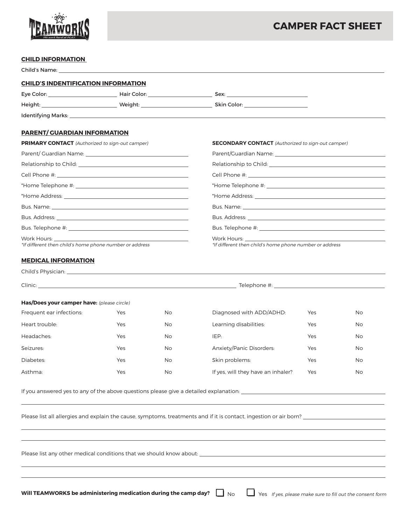

# **CAMPER FACT SHEET**

# **CHILD INFORMATION**

| <b>CHILD'S INDENTIFICATION INFORMATION</b>                                                                    |     |                                                         |                                                                                                                    |                                                                                                               |     |  |  |
|---------------------------------------------------------------------------------------------------------------|-----|---------------------------------------------------------|--------------------------------------------------------------------------------------------------------------------|---------------------------------------------------------------------------------------------------------------|-----|--|--|
|                                                                                                               |     |                                                         |                                                                                                                    |                                                                                                               |     |  |  |
|                                                                                                               |     |                                                         |                                                                                                                    |                                                                                                               |     |  |  |
|                                                                                                               |     |                                                         |                                                                                                                    |                                                                                                               |     |  |  |
| <b>PARENT/ GUARDIAN INFORMATION</b>                                                                           |     |                                                         |                                                                                                                    |                                                                                                               |     |  |  |
| <b>PRIMARY CONTACT</b> (Authorized to sign-out camper)                                                        |     |                                                         |                                                                                                                    | <b>SECONDARY CONTACT</b> (Authorized to sign-out camper)                                                      |     |  |  |
| Parent/ Guardian Name: Name and Allen and Allen and Allen and Allen and Allen and                             |     |                                                         |                                                                                                                    |                                                                                                               |     |  |  |
| Relationship to Child: National Assembly and Assembly and Assembly and Assembly and Assembly and Assembly and |     |                                                         |                                                                                                                    | Relationship to Child: National Accounts and Accounts are also also been accounted as a set of the set of the |     |  |  |
|                                                                                                               |     |                                                         |                                                                                                                    |                                                                                                               |     |  |  |
|                                                                                                               |     |                                                         |                                                                                                                    |                                                                                                               |     |  |  |
|                                                                                                               |     |                                                         |                                                                                                                    |                                                                                                               |     |  |  |
|                                                                                                               |     |                                                         |                                                                                                                    |                                                                                                               |     |  |  |
|                                                                                                               |     |                                                         |                                                                                                                    |                                                                                                               |     |  |  |
|                                                                                                               |     |                                                         |                                                                                                                    |                                                                                                               |     |  |  |
| *If different then child's home phone number or address                                                       |     | *If different then child's home phone number or address |                                                                                                                    |                                                                                                               |     |  |  |
| <b>MEDICAL INFORMATION</b>                                                                                    |     |                                                         |                                                                                                                    |                                                                                                               |     |  |  |
|                                                                                                               |     |                                                         |                                                                                                                    |                                                                                                               |     |  |  |
|                                                                                                               |     |                                                         |                                                                                                                    |                                                                                                               |     |  |  |
| Has/Does your camper have: (please circle)                                                                    |     |                                                         |                                                                                                                    |                                                                                                               |     |  |  |
| Frequent ear infections:                                                                                      | Yes | No                                                      | Diagnosed with ADD/ADHD:                                                                                           | Yes                                                                                                           | No  |  |  |
| Heart trouble:                                                                                                | Yes | No                                                      | Learning disabilities:                                                                                             | Yes                                                                                                           | No. |  |  |
| Headaches:                                                                                                    | Yes | No.                                                     | IEP:                                                                                                               | Yes                                                                                                           | No. |  |  |
| Seizures:                                                                                                     | Yes | No                                                      | Anxiety/Panic Disorders:                                                                                           | Yes                                                                                                           | No. |  |  |
| Diabetes:                                                                                                     | Yes | No.                                                     | Skin problems:                                                                                                     | Yes                                                                                                           | No. |  |  |
| Asthma:                                                                                                       | Yes | No                                                      | If yes, will they have an inhaler?                                                                                 | Yes                                                                                                           | No  |  |  |
|                                                                                                               |     |                                                         | If you answered yes to any of the above questions please give a detailed explanation:                              |                                                                                                               |     |  |  |
|                                                                                                               |     |                                                         | Please list all allergies and explain the cause, symptoms, treatments and if it is contact, ingestion or air born? |                                                                                                               |     |  |  |
|                                                                                                               |     |                                                         |                                                                                                                    |                                                                                                               |     |  |  |

Please list any other medical conditions that we should know about: \_\_

Will TEAMWORKS be administering medication during the camp day? No **No Alphant State State Sease make sure to fill out the consent form** 

 $\overline{a}$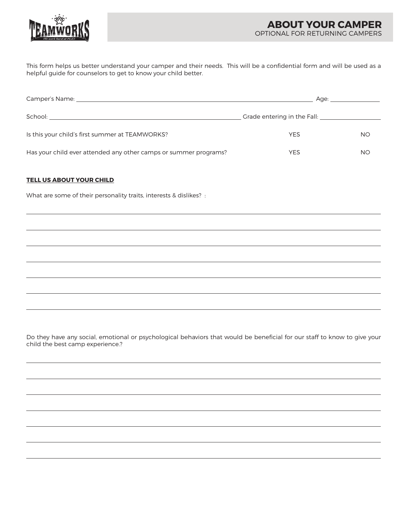

This form helps us better understand your camper and their needs. This will be a confidential form and will be used as a helpful guide for counselors to get to know your child better.

| Camper's Name: 1988 - 1988 - 1988 - 1988 - 1988 - 1988 - 1988 - 1988 - 1988 - 1988 - 1988 - 1988 - 1988 - 198 | Age: a contract the contract of the contract of the contract of the contract of the contract of the contract of the contract of the contract of the contract of the contract of the contract of the contract of the contract o |           |  |  |
|---------------------------------------------------------------------------------------------------------------|--------------------------------------------------------------------------------------------------------------------------------------------------------------------------------------------------------------------------------|-----------|--|--|
|                                                                                                               | Grade entering in the Fall:                                                                                                                                                                                                    |           |  |  |
| Is this your child's first summer at TEAMWORKS?                                                               | <b>YES</b>                                                                                                                                                                                                                     | <b>NO</b> |  |  |
| Has your child ever attended any other camps or summer programs?                                              | <b>YES</b>                                                                                                                                                                                                                     | ΝO        |  |  |

### **TELL US ABOUT YOUR CHILD**

 $\overline{a}$ 

 $\overline{a}$ 

 $\overline{a}$ 

 $\overline{a}$ 

 $\overline{a}$ 

 $\overline{a}$ 

What are some of their personality traits, interests & dislikes? :

Do they have any social, emotional or psychological behaviors that would be beneficial for our staff to know to give your child the best camp experience.?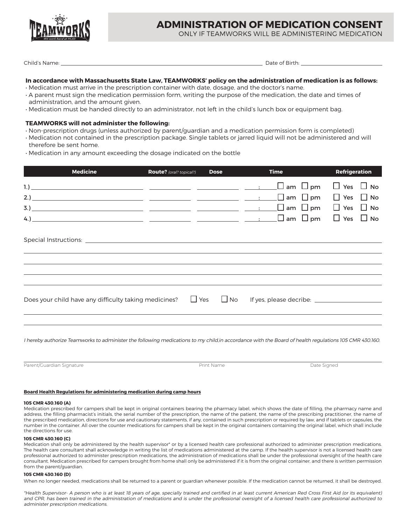

# **ADMINISTRATION OF MEDICATION CONSENT**

ONLY IF TEAMWORKS WILL BE ADMINISTERING MEDICATION

Child's Name: Date of Birth:

### **In accordance with Massachusetts State Law, TEAMWORKS' policy on the administration of medication is as follows:**

- Medication must arrive in the prescription container with date, dosage, and the doctor's name.
- A parent must sign the medication permission form, writing the purpose of the medication, the date and times of administration, and the amount given.
- Medication must be handed directly to an administrator, not left in the child's lunch box or equipment bag.

### **TEAMWORKS will not administer the following:**

- Non-prescription drugs (unless authorized by parent/guardian and a medication permission form is completed)
- Medication not contained in the prescription package. Single tablets or jarred liquid will not be administered and will therefore be sent home.
- Medication in any amount exceeding the dosage indicated on the bottle

| <b>Medicine</b>                                       | Route? (oral? topical?) | <b>Dose</b> | <b>Time</b>                                         | <b>Refrigeration</b> |  |
|-------------------------------------------------------|-------------------------|-------------|-----------------------------------------------------|----------------------|--|
|                                                       |                         |             | $\Box$ am $\Box$ pm $\Box$ Yes $\Box$ No            |                      |  |
|                                                       |                         |             |                                                     |                      |  |
| Does your child have any difficulty taking medicines? |                         |             | $\Box$ Yes $\Box$ No If yes, please decribe: $\Box$ |                      |  |
|                                                       |                         |             |                                                     |                      |  |

I hereby authorize Teamworks to administer the following medications to my child,in accordance with the Board of health regulations 105 CMR 430.160.

Parent/Guardian Signature and the principle of the Print Name Print Name Date Signed Date Signed

 $\overline{a}$ 

#### **Board Health Regulations for administering medication during camp hours**

#### **105 CMR 430.160 (A)**

Medication prescribed for campers shall be kept in original containers bearing the pharmacy label, which shows the date of filling, the pharmacy name and address, the filling pharmacist's initials, the serial number of the prescription, the name of the patient, the name of the prescribing practitioner, the name of the prescribed medication, directions for use and cautionary statements, if any, contained in such prescription or required by law, and if tablets or capsules, the number in the container. All over the counter medications for campers shall be kept in the original containers containing the original label, which shall include the directions for use.

#### **105 CMR 430.160 (C)**

Medication shall only be administered by the health supervisor\* or by a licensed health care professional authorized to administer prescription medications. The health care consultant shall acknowledge in writing the list of medications administered at the camp. If the health supervisor is not a licensed health care professional authorized to administer prescription medications, the administration of medications shall be under the professional oversight of the health care consultant. Medication prescribed for campers brought from home shall only be administered if it is from the original container, and there is written permission from the parent/guardian.

#### **105 CMR 430.160 (D)**

When no longer needed, medications shall be returned to a parent or guardian whenever possible. If the medication cannot be returned, it shall be destroyed.

\*Health Supervisor- A person who is at least 18 years of age, specially trained and certified in at least current American Red Cross First Aid (or its equivalent) and CPR, has been trained in the administration of medications and is under the professional oversight of a licensed health care professional authorized to administer prescription medications.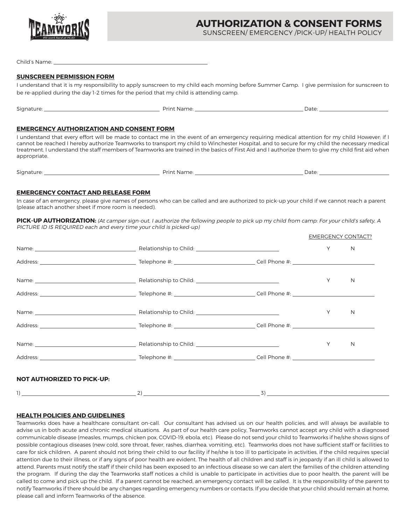

SUNSCREEN/ EMERGENCY /PICK-UP/ HEALTH POLICY

Child's Name:

### **SUNSCREEN PERMISSION FORM**

I understand that it is my responsibility to apply sunscreen to my child each morning before Summer Camp. I give permission for sunscreen to be re-applied during the day 1-2 times for the period that my child is attending camp.

Signature: Print Name: Date:

# **EMERGENCY AUTHORIZATION AND CONSENT FORM**

I understand that every effort will be made to contact me in the event of an emergency requiring medical attention for my child However; if I cannot be reached I hereby authorize Teamworks to transport my child to Winchester Hospital, and to secure for my child the necessary medical treatment. I understand the staff members of Teamworks are trained in the basics of First Aid and I authorize them to give my child first aid when appropriate.

| $\sim$ $\cdot$<br>Signature<br>. | $v_{\rm H}$<br>'Ndi.<br>. | Jate |
|----------------------------------|---------------------------|------|
|                                  |                           |      |

# **EMERGENCY CONTACT AND RELEASE FORM**

In case of an emergency, please give names of persons who can be called and are authorized to pick-up your child if we cannot reach a parent (please attach another sheet if more room is needed).

**PICK-UP AUTHORIZATION:** (At camper sign-out, I authorize the following people to pick up my child from camp: For your child's safety, A PICTURE ID IS REQUIRED each and every time your child is picked-up)

|                                   |                                                                                                                                                                                                                                  | <b>EMERGENCY CONTACT?</b> |   |
|-----------------------------------|----------------------------------------------------------------------------------------------------------------------------------------------------------------------------------------------------------------------------------|---------------------------|---|
|                                   |                                                                                                                                                                                                                                  | Y                         | N |
|                                   |                                                                                                                                                                                                                                  |                           |   |
|                                   |                                                                                                                                                                                                                                  | Υ                         | N |
|                                   |                                                                                                                                                                                                                                  |                           |   |
|                                   |                                                                                                                                                                                                                                  | Y                         | N |
|                                   |                                                                                                                                                                                                                                  |                           |   |
|                                   |                                                                                                                                                                                                                                  | Υ                         | N |
|                                   |                                                                                                                                                                                                                                  |                           |   |
| <b>NOT AUTHORIZED TO PICK-UP:</b> |                                                                                                                                                                                                                                  |                           |   |
|                                   | $\frac{1}{2}$ (1) and 1) and 1) and 1) and 1) and 1) and 1) and 1) and 1) and 1) and 1) and 1) and 1) and 1) and 1) and 1) and 1) and 1) and 1) and 1) and 1) and 1) and 1) and 1) and 1) and 1) and 1) and 1) and 1) and 1) and |                           |   |

# **HEALTH POLICIES AND GUIDELINES**

Teamworks does have a healthcare consultant on-call. Our consultant has advised us on our health policies, and will always be available to advise us in both acute and chronic medical situations. As part of our health care policy, Teamworks cannot accept any child with a diagnosed communicable disease (measles, mumps, chicken pox, COVID-19, ebola, etc). Please do not send your child to Teamworks if he/she shows signs of possible contagious diseases (new cold, sore throat, fever, rashes, diarrhea, vomiting, etc). Teamworks does not have sufficient staff or facilities to care for sick children. A parent should not bring their child to our facility if he/she is too ill to participate in activities, if the child requires special attention due to their illness, or if any signs of poor health are evident. The health of all children and staff is in jeopardy if an ill child is allowed to attend. Parents must notify the staff if their child has been exposed to an infectious disease so we can alert the families of the children attending the program. If during the day the Teamworks staff notices a child is unable to participate in activities due to poor health, the parent will be called to come and pick up the child. If a parent cannot be reached, an emergency contact will be called. It is the responsibility of the parent to notify Teamworks if there should be any changes regarding emergency numbers or contacts. If you decide that your child should remain at home, please call and inform Teamworks of the absence.